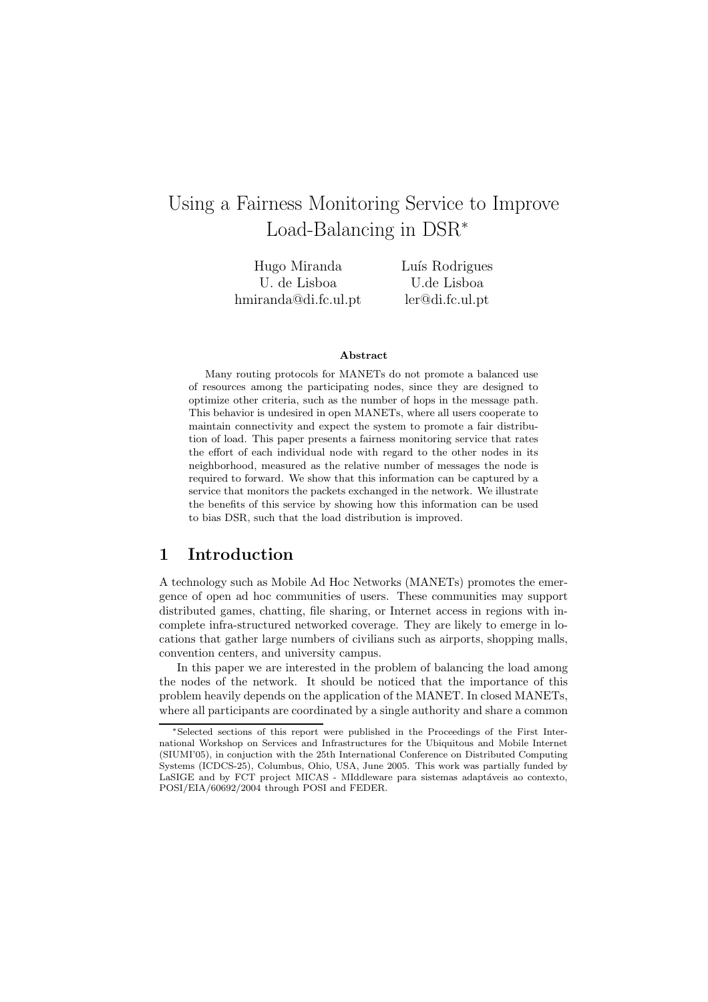# Using a Fairness Monitoring Service to Improve Load-Balancing in DSR<sup>∗</sup>

Hugo Miranda U. de Lisboa hmiranda@di.fc.ul.pt Luís Rodrigues U.de Lisboa ler@di.fc.ul.pt

#### Abstract

Many routing protocols for MANETs do not promote a balanced use of resources among the participating nodes, since they are designed to optimize other criteria, such as the number of hops in the message path. This behavior is undesired in open MANETs, where all users cooperate to maintain connectivity and expect the system to promote a fair distribution of load. This paper presents a fairness monitoring service that rates the effort of each individual node with regard to the other nodes in its neighborhood, measured as the relative number of messages the node is required to forward. We show that this information can be captured by a service that monitors the packets exchanged in the network. We illustrate the benefits of this service by showing how this information can be used to bias DSR, such that the load distribution is improved.

# 1 Introduction

A technology such as Mobile Ad Hoc Networks (MANETs) promotes the emergence of open ad hoc communities of users. These communities may support distributed games, chatting, file sharing, or Internet access in regions with incomplete infra-structured networked coverage. They are likely to emerge in locations that gather large numbers of civilians such as airports, shopping malls, convention centers, and university campus.

In this paper we are interested in the problem of balancing the load among the nodes of the network. It should be noticed that the importance of this problem heavily depends on the application of the MANET. In closed MANETs, where all participants are coordinated by a single authority and share a common

<sup>∗</sup>Selected sections of this report were published in the Proceedings of the First International Workshop on Services and Infrastructures for the Ubiquitous and Mobile Internet (SIUMI'05), in conjuction with the 25th International Conference on Distributed Computing Systems (ICDCS-25), Columbus, Ohio, USA, June 2005. This work was partially funded by LaSIGE and by FCT project MICAS - MIddleware para sistemas adaptáveis ao contexto, POSI/EIA/60692/2004 through POSI and FEDER.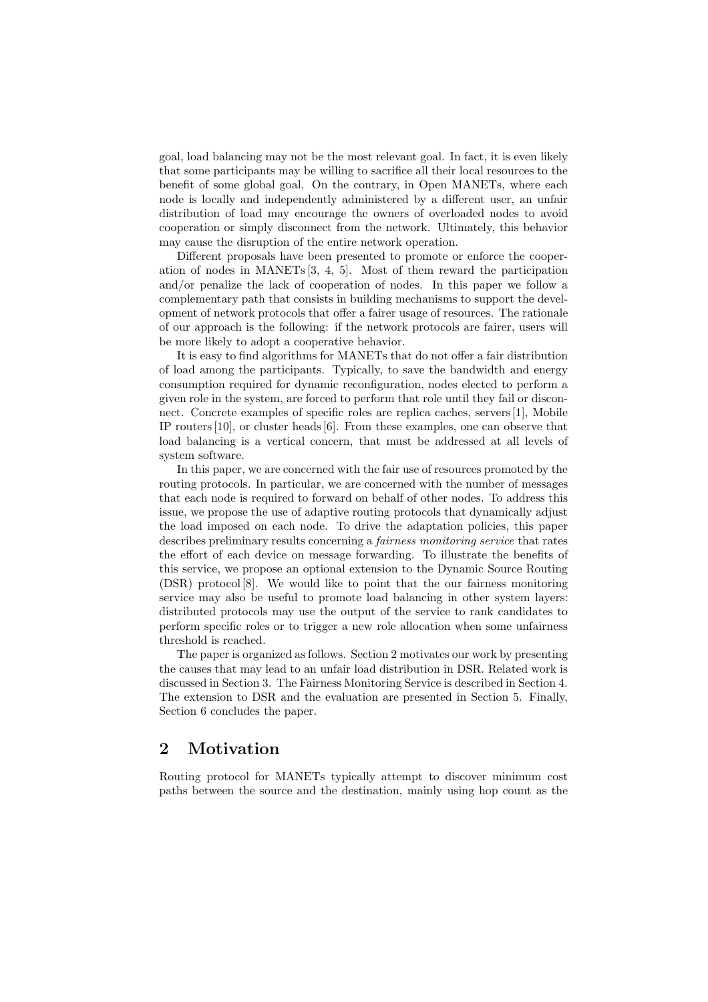goal, load balancing may not be the most relevant goal. In fact, it is even likely that some participants may be willing to sacrifice all their local resources to the benefit of some global goal. On the contrary, in Open MANETs, where each node is locally and independently administered by a different user, an unfair distribution of load may encourage the owners of overloaded nodes to avoid cooperation or simply disconnect from the network. Ultimately, this behavior may cause the disruption of the entire network operation.

Different proposals have been presented to promote or enforce the cooperation of nodes in MANETs[3, 4, 5]. Most of them reward the participation and/or penalize the lack of cooperation of nodes. In this paper we follow a complementary path that consists in building mechanisms to support the development of network protocols that offer a fairer usage of resources. The rationale of our approach is the following: if the network protocols are fairer, users will be more likely to adopt a cooperative behavior.

It is easy to find algorithms for MANETs that do not offer a fair distribution of load among the participants. Typically, to save the bandwidth and energy consumption required for dynamic reconfiguration, nodes elected to perform a given role in the system, are forced to perform that role until they fail or disconnect. Concrete examples of specific roles are replica caches, servers[1], Mobile IP routers[10], or cluster heads[6]. From these examples, one can observe that load balancing is a vertical concern, that must be addressed at all levels of system software.

In this paper, we are concerned with the fair use of resources promoted by the routing protocols. In particular, we are concerned with the number of messages that each node is required to forward on behalf of other nodes. To address this issue, we propose the use of adaptive routing protocols that dynamically adjust the load imposed on each node. To drive the adaptation policies, this paper describes preliminary results concerning a fairness monitoring service that rates the effort of each device on message forwarding. To illustrate the benefits of this service, we propose an optional extension to the Dynamic Source Routing (DSR) protocol [8]. We would like to point that the our fairness monitoring service may also be useful to promote load balancing in other system layers: distributed protocols may use the output of the service to rank candidates to perform specific roles or to trigger a new role allocation when some unfairness threshold is reached.

The paper is organized as follows. Section 2 motivates our work by presenting the causes that may lead to an unfair load distribution in DSR. Related work is discussed in Section 3. The Fairness Monitoring Service is described in Section 4. The extension to DSR and the evaluation are presented in Section 5. Finally, Section 6 concludes the paper.

# 2 Motivation

Routing protocol for MANETs typically attempt to discover minimum cost paths between the source and the destination, mainly using hop count as the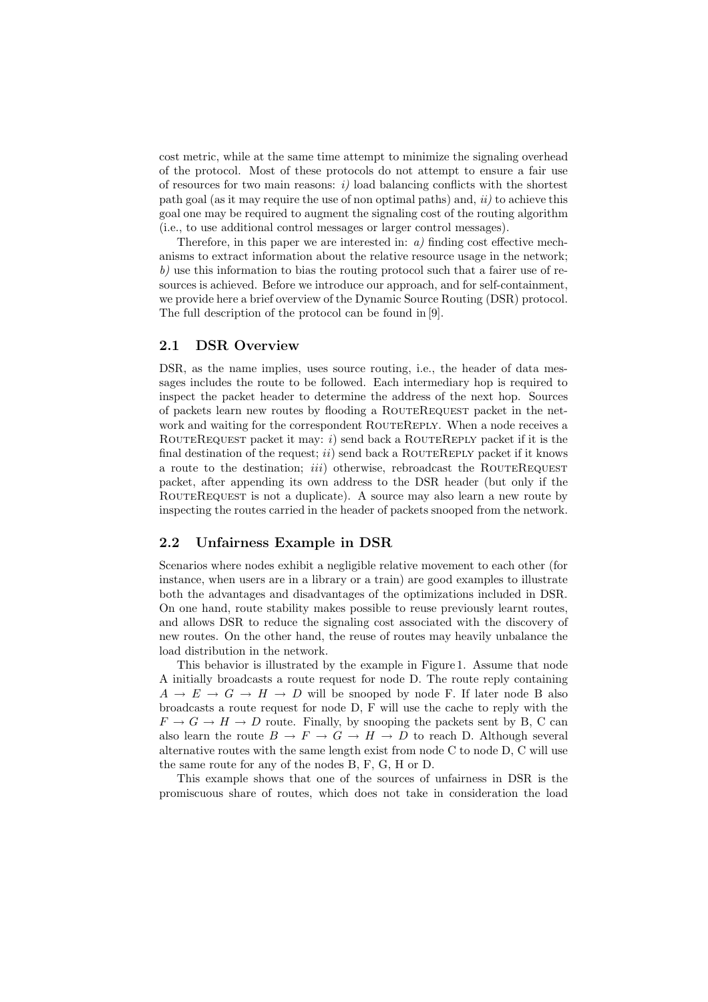cost metric, while at the same time attempt to minimize the signaling overhead of the protocol. Most of these protocols do not attempt to ensure a fair use of resources for two main reasons:  $i)$  load balancing conflicts with the shortest path goal (as it may require the use of non optimal paths) and,  $ii)$  to achieve this goal one may be required to augment the signaling cost of the routing algorithm (i.e., to use additional control messages or larger control messages).

Therefore, in this paper we are interested in:  $a$ ) finding cost effective mechanisms to extract information about the relative resource usage in the network;  $b$ ) use this information to bias the routing protocol such that a fairer use of resources is achieved. Before we introduce our approach, and for self-containment, we provide here a brief overview of the Dynamic Source Routing (DSR) protocol. The full description of the protocol can be found in [9].

#### 2.1 DSR Overview

DSR, as the name implies, uses source routing, i.e., the header of data messages includes the route to be followed. Each intermediary hop is required to inspect the packet header to determine the address of the next hop. Sources of packets learn new routes by flooding a RouteRequest packet in the network and waiting for the correspondent ROUTEREPLY. When a node receives a ROUTEREQUEST packet it may: i) send back a ROUTEREPLY packet if it is the final destination of the request;  $ii)$  send back a ROUTEREPLY packet if it knows a route to the destination;  $iii)$  otherwise, rebroadcast the ROUTEREQUEST packet, after appending its own address to the DSR header (but only if the ROUTEREQUEST is not a duplicate). A source may also learn a new route by inspecting the routes carried in the header of packets snooped from the network.

#### 2.2 Unfairness Example in DSR

Scenarios where nodes exhibit a negligible relative movement to each other (for instance, when users are in a library or a train) are good examples to illustrate both the advantages and disadvantages of the optimizations included in DSR. On one hand, route stability makes possible to reuse previously learnt routes, and allows DSR to reduce the signaling cost associated with the discovery of new routes. On the other hand, the reuse of routes may heavily unbalance the load distribution in the network.

This behavior is illustrated by the example in Figure 1. Assume that node A initially broadcasts a route request for node D. The route reply containing  $A \rightarrow E \rightarrow G \rightarrow H \rightarrow D$  will be snooped by node F. If later node B also broadcasts a route request for node D, F will use the cache to reply with the  $F \to G \to H \to D$  route. Finally, by snooping the packets sent by B, C can also learn the route  $B \to F \to G \to H \to D$  to reach D. Although several alternative routes with the same length exist from node C to node D, C will use the same route for any of the nodes B, F, G, H or D.

This example shows that one of the sources of unfairness in DSR is the promiscuous share of routes, which does not take in consideration the load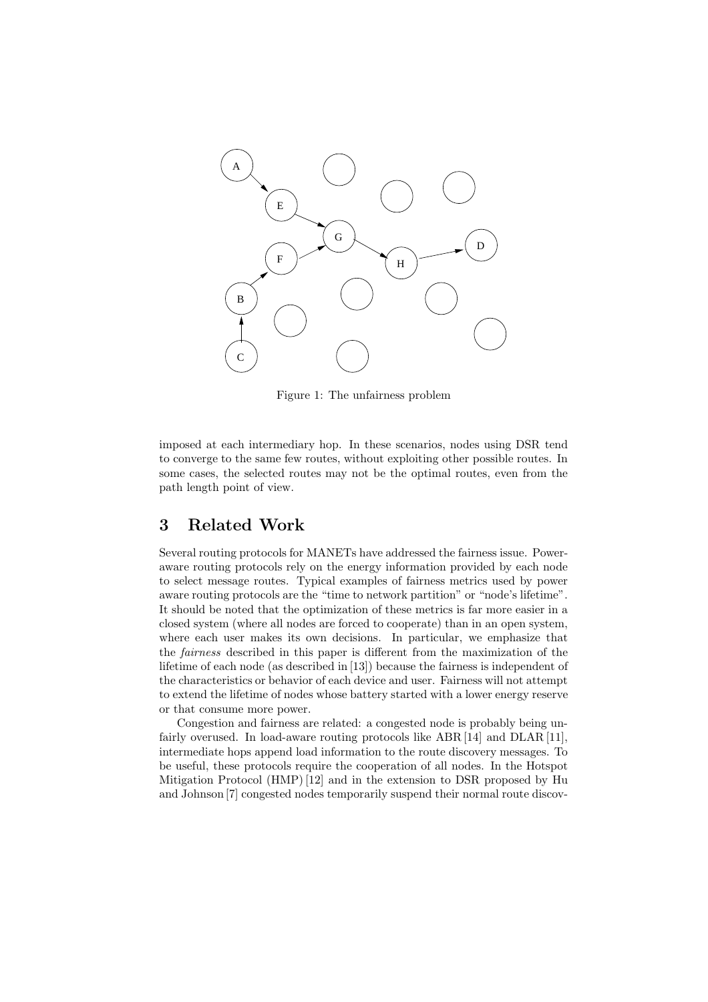

Figure 1: The unfairness problem

imposed at each intermediary hop. In these scenarios, nodes using DSR tend to converge to the same few routes, without exploiting other possible routes. In some cases, the selected routes may not be the optimal routes, even from the path length point of view.

# 3 Related Work

Several routing protocols for MANETs have addressed the fairness issue. Poweraware routing protocols rely on the energy information provided by each node to select message routes. Typical examples of fairness metrics used by power aware routing protocols are the "time to network partition" or "node's lifetime". It should be noted that the optimization of these metrics is far more easier in a closed system (where all nodes are forced to cooperate) than in an open system, where each user makes its own decisions. In particular, we emphasize that the fairness described in this paper is different from the maximization of the lifetime of each node (as described in [13]) because the fairness is independent of the characteristics or behavior of each device and user. Fairness will not attempt to extend the lifetime of nodes whose battery started with a lower energy reserve or that consume more power.

Congestion and fairness are related: a congested node is probably being unfairly overused. In load-aware routing protocols like ABR [14] and DLAR [11], intermediate hops append load information to the route discovery messages. To be useful, these protocols require the cooperation of all nodes. In the Hotspot Mitigation Protocol (HMP)[12] and in the extension to DSR proposed by Hu and Johnson [7] congested nodes temporarily suspend their normal route discov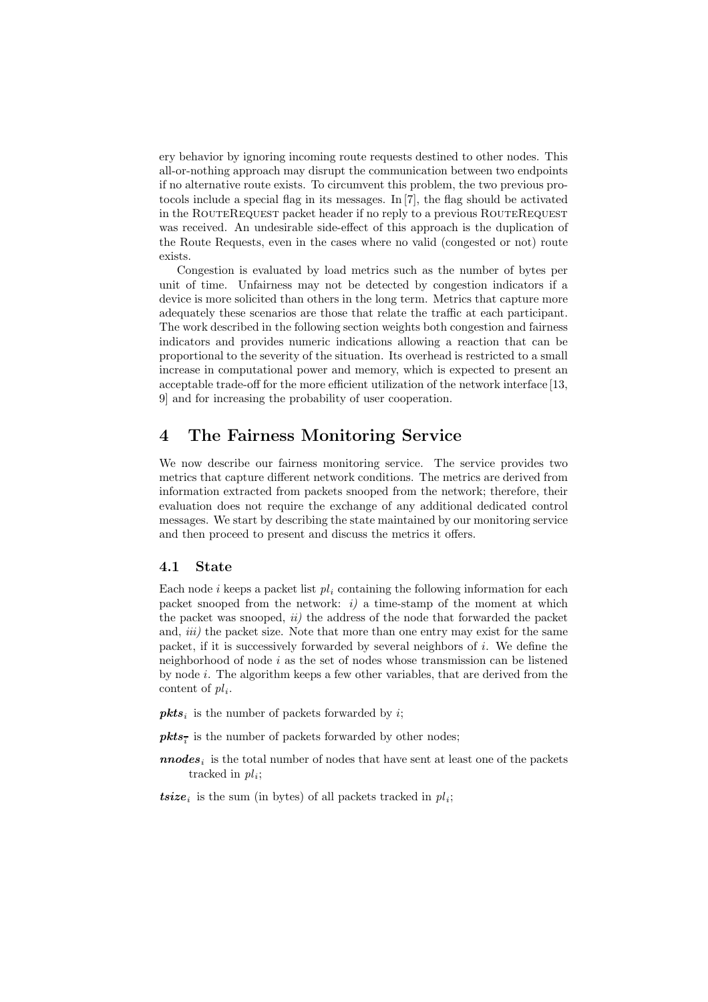ery behavior by ignoring incoming route requests destined to other nodes. This all-or-nothing approach may disrupt the communication between two endpoints if no alternative route exists. To circumvent this problem, the two previous protocols include a special flag in its messages. In [7], the flag should be activated in the ROUTEREQUEST packet header if no reply to a previous ROUTEREQUEST was received. An undesirable side-effect of this approach is the duplication of the Route Requests, even in the cases where no valid (congested or not) route exists.

Congestion is evaluated by load metrics such as the number of bytes per unit of time. Unfairness may not be detected by congestion indicators if a device is more solicited than others in the long term. Metrics that capture more adequately these scenarios are those that relate the traffic at each participant. The work described in the following section weights both congestion and fairness indicators and provides numeric indications allowing a reaction that can be proportional to the severity of the situation. Its overhead is restricted to a small increase in computational power and memory, which is expected to present an acceptable trade-off for the more efficient utilization of the network interface [13, 9] and for increasing the probability of user cooperation.

# 4 The Fairness Monitoring Service

We now describe our fairness monitoring service. The service provides two metrics that capture different network conditions. The metrics are derived from information extracted from packets snooped from the network; therefore, their evaluation does not require the exchange of any additional dedicated control messages. We start by describing the state maintained by our monitoring service and then proceed to present and discuss the metrics it offers.

#### 4.1 State

Each node i keeps a packet list  $pl_i$  containing the following information for each packet snooped from the network:  $i$  a time-stamp of the moment at which the packet was snooped,  $ii)$  the address of the node that forwarded the packet and, *iii*) the packet size. Note that more than one entry may exist for the same packet, if it is successively forwarded by several neighbors of  $i$ . We define the neighborhood of node  $i$  as the set of nodes whose transmission can be listened by node  $i$ . The algorithm keeps a few other variables, that are derived from the content of  $pl_i$ .

 $pkts_i$  is the number of packets forwarded by i;

 $\mathit{pkts}_{\overline{i}}$  is the number of packets forwarded by other nodes;

- $\boldsymbol{nnodes}_i$  is the total number of nodes that have sent at least one of the packets tracked in  $pl_i$ ;
- **tsize**<sub>i</sub> is the sum (in bytes) of all packets tracked in  $pl_i$ ;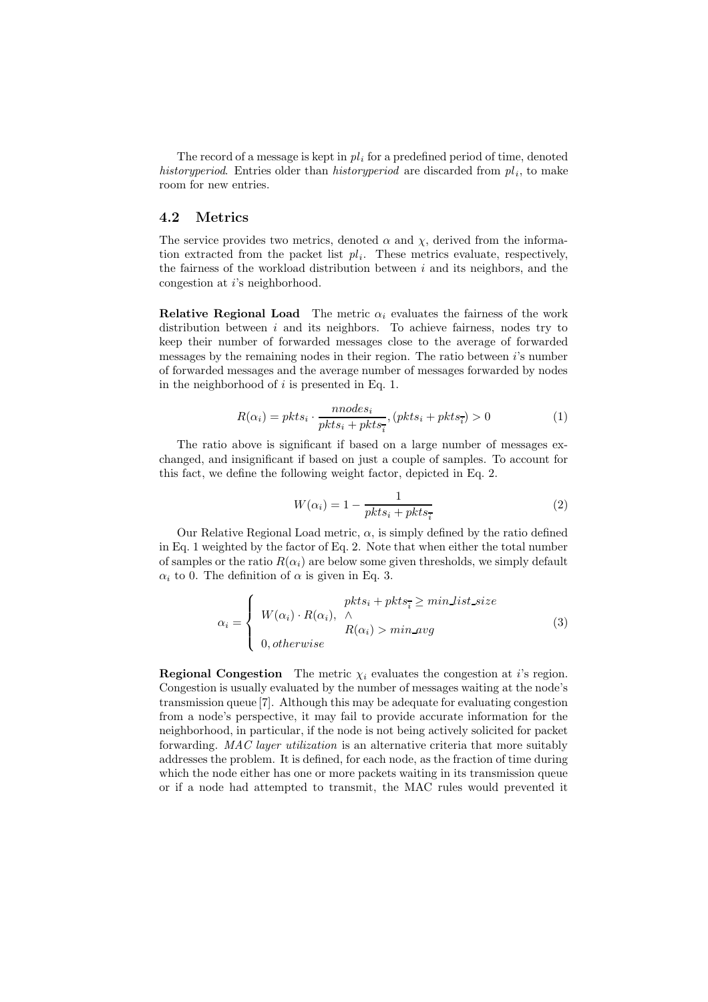The record of a message is kept in  $pl_i$  for a predefined period of time, denoted history period. Entries older than history period are discarded from  $pl<sub>i</sub>$ , to make room for new entries.

#### 4.2 Metrics

The service provides two metrics, denoted  $\alpha$  and  $\chi$ , derived from the information extracted from the packet list  $pl_i$ . These metrics evaluate, respectively, the fairness of the workload distribution between  $i$  and its neighbors, and the congestion at i's neighborhood.

Relative Regional Load The metric  $\alpha_i$  evaluates the fairness of the work distribution between  $i$  and its neighbors. To achieve fairness, nodes try to keep their number of forwarded messages close to the average of forwarded messages by the remaining nodes in their region. The ratio between i's number of forwarded messages and the average number of messages forwarded by nodes in the neighborhood of  $i$  is presented in Eq. 1.

$$
R(\alpha_i) = pkts_i \cdot \frac{nnodes_i}{pkts_i + pkts_i}, (pkts_i + pkts_i) > 0
$$
\n<sup>(1)</sup>

The ratio above is significant if based on a large number of messages exchanged, and insignificant if based on just a couple of samples. To account for this fact, we define the following weight factor, depicted in Eq. 2.

$$
W(\alpha_i) = 1 - \frac{1}{pkts_i + pkts_i}
$$
 (2)

Our Relative Regional Load metric,  $\alpha$ , is simply defined by the ratio defined in Eq. 1 weighted by the factor of Eq. 2. Note that when either the total number of samples or the ratio  $R(\alpha_i)$  are below some given thresholds, we simply default  $\alpha_i$  to 0. The definition of  $\alpha$  is given in Eq. 3.

$$
\alpha_i = \begin{cases} \nW(\alpha_i) \cdot R(\alpha_i), & \wedge \\ \nW(\alpha_i) & R(\alpha_i) > \min \text{avg} \\ \n0, \text{otherwise} \n\end{cases} \tag{3}
$$

**Regional Congestion** The metric  $\chi_i$  evaluates the congestion at *i*'s region. Congestion is usually evaluated by the number of messages waiting at the node's transmission queue [7]. Although this may be adequate for evaluating congestion from a node's perspective, it may fail to provide accurate information for the neighborhood, in particular, if the node is not being actively solicited for packet forwarding. MAC layer utilization is an alternative criteria that more suitably addresses the problem. It is defined, for each node, as the fraction of time during which the node either has one or more packets waiting in its transmission queue or if a node had attempted to transmit, the MAC rules would prevented it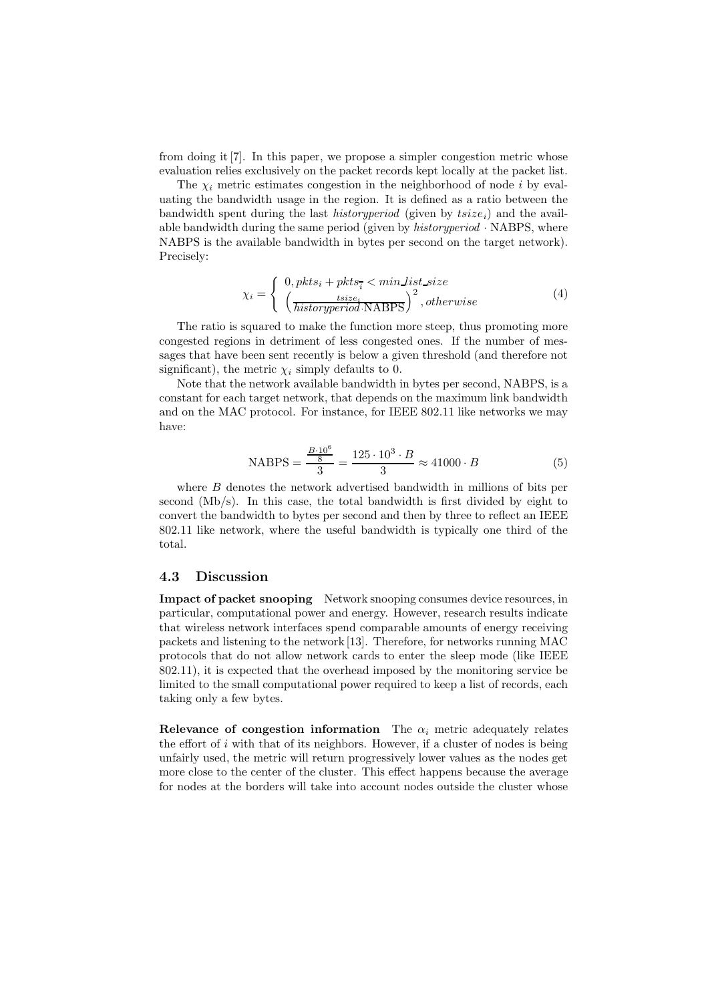from doing it[7]. In this paper, we propose a simpler congestion metric whose evaluation relies exclusively on the packet records kept locally at the packet list.

The  $\chi_i$  metric estimates congestion in the neighborhood of node i by evaluating the bandwidth usage in the region. It is defined as a ratio between the bandwidth spent during the last *historyperiod* (given by  $tsize_i$ ) and the available bandwidth during the same period (given by  $historyperiod \cdot \text{NABPS}$ , where NABPS is the available bandwidth in bytes per second on the target network). Precisely:

$$
\chi_i = \begin{cases} 0, \, pkts_i + pkts_{\overline{i}} < \, \min\_list\_size \\ \left(\frac{tsize_i}{historyperiod \cdot \text{NABPS}}\right)^2, \, otherwise \end{cases} \tag{4}
$$

The ratio is squared to make the function more steep, thus promoting more congested regions in detriment of less congested ones. If the number of messages that have been sent recently is below a given threshold (and therefore not significant), the metric  $\chi_i$  simply defaults to 0.

Note that the network available bandwidth in bytes per second, NABPS, is a constant for each target network, that depends on the maximum link bandwidth and on the MAC protocol. For instance, for IEEE 802.11 like networks we may have:

NABPS = 
$$
\frac{B \cdot 10^6}{3}
$$
 =  $\frac{125 \cdot 10^3 \cdot B}{3}$   $\approx 41000 \cdot B$  (5)

where  $B$  denotes the network advertised bandwidth in millions of bits per second (Mb/s). In this case, the total bandwidth is first divided by eight to convert the bandwidth to bytes per second and then by three to reflect an IEEE 802.11 like network, where the useful bandwidth is typically one third of the total.

#### 4.3 Discussion

Impact of packet snooping Network snooping consumes device resources, in particular, computational power and energy. However, research results indicate that wireless network interfaces spend comparable amounts of energy receiving packets and listening to the network [13]. Therefore, for networks running MAC protocols that do not allow network cards to enter the sleep mode (like IEEE 802.11), it is expected that the overhead imposed by the monitoring service be limited to the small computational power required to keep a list of records, each taking only a few bytes.

Relevance of congestion information The  $\alpha_i$  metric adequately relates the effort of  $i$  with that of its neighbors. However, if a cluster of nodes is being unfairly used, the metric will return progressively lower values as the nodes get more close to the center of the cluster. This effect happens because the average for nodes at the borders will take into account nodes outside the cluster whose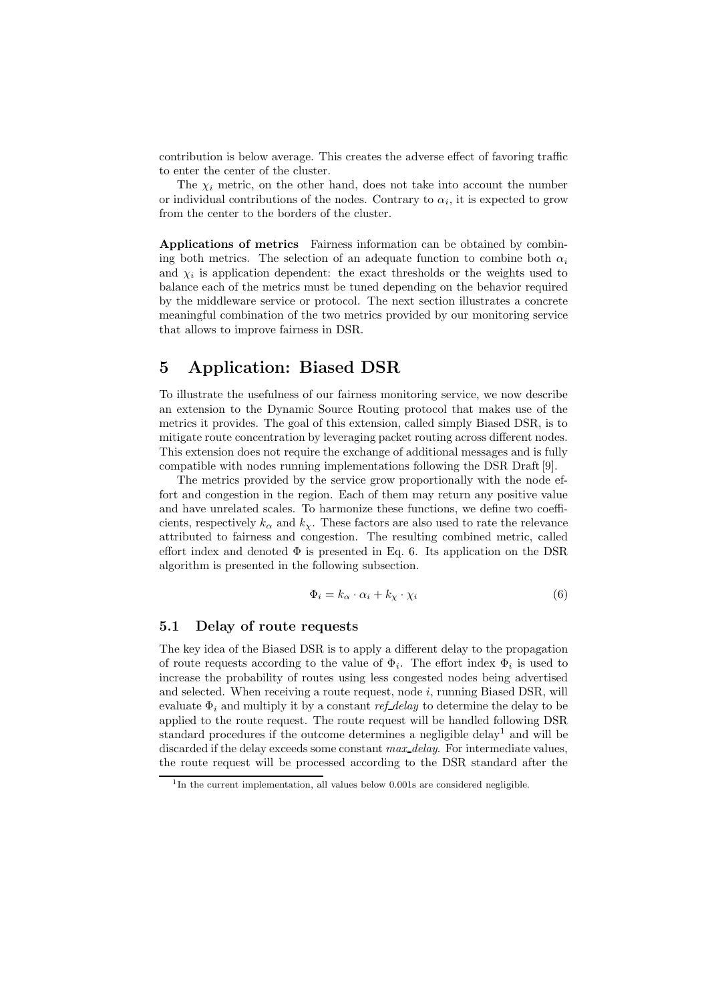contribution is below average. This creates the adverse effect of favoring traffic to enter the center of the cluster.

The  $\chi_i$  metric, on the other hand, does not take into account the number or individual contributions of the nodes. Contrary to  $\alpha_i$ , it is expected to grow from the center to the borders of the cluster.

Applications of metrics Fairness information can be obtained by combining both metrics. The selection of an adequate function to combine both  $\alpha_i$ and  $\chi_i$  is application dependent: the exact thresholds or the weights used to balance each of the metrics must be tuned depending on the behavior required by the middleware service or protocol. The next section illustrates a concrete meaningful combination of the two metrics provided by our monitoring service that allows to improve fairness in DSR.

# 5 Application: Biased DSR

To illustrate the usefulness of our fairness monitoring service, we now describe an extension to the Dynamic Source Routing protocol that makes use of the metrics it provides. The goal of this extension, called simply Biased DSR, is to mitigate route concentration by leveraging packet routing across different nodes. This extension does not require the exchange of additional messages and is fully compatible with nodes running implementations following the DSR Draft[9].

The metrics provided by the service grow proportionally with the node effort and congestion in the region. Each of them may return any positive value and have unrelated scales. To harmonize these functions, we define two coefficients, respectively  $k_{\alpha}$  and  $k_{\gamma}$ . These factors are also used to rate the relevance attributed to fairness and congestion. The resulting combined metric, called effort index and denoted  $\Phi$  is presented in Eq. 6. Its application on the DSR algorithm is presented in the following subsection.

$$
\Phi_i = k_\alpha \cdot \alpha_i + k_\chi \cdot \chi_i \tag{6}
$$

#### 5.1 Delay of route requests

The key idea of the Biased DSR is to apply a different delay to the propagation of route requests according to the value of  $\Phi_i$ . The effort index  $\Phi_i$  is used to increase the probability of routes using less congested nodes being advertised and selected. When receiving a route request, node i, running Biased DSR, will evaluate  $\Phi_i$  and multiply it by a constant ref-delay to determine the delay to be applied to the route request. The route request will be handled following DSR standard procedures if the outcome determines a negligible delay <sup>1</sup> and will be discarded if the delay exceeds some constant max\_delay. For intermediate values, the route request will be processed according to the DSR standard after the

<sup>&</sup>lt;sup>1</sup>In the current implementation, all values below 0.001s are considered negligible.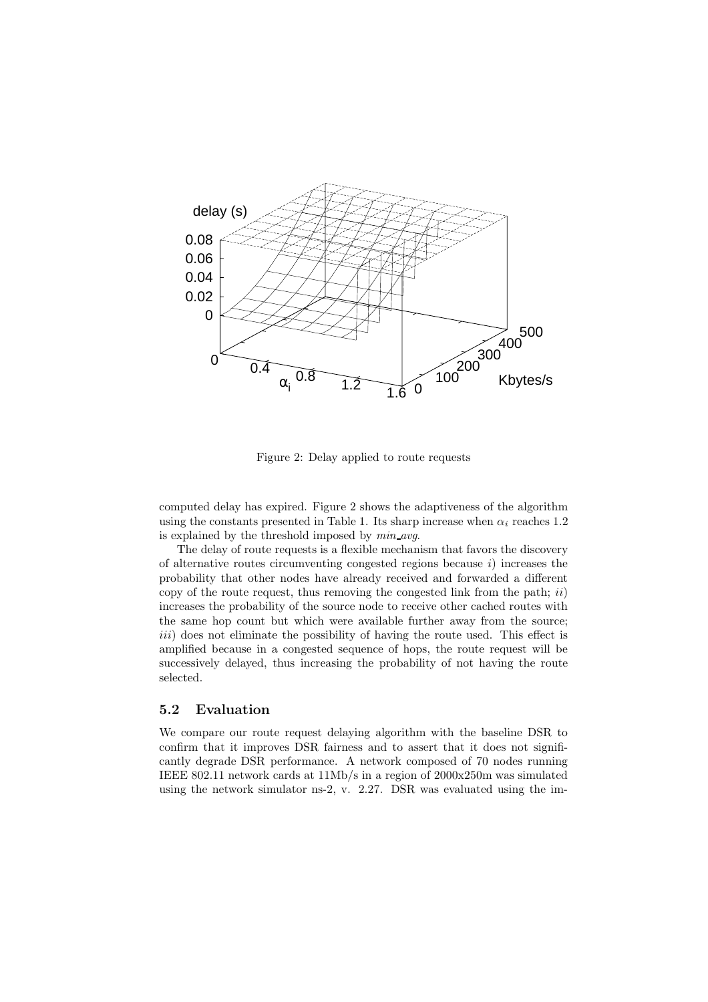

Figure 2: Delay applied to route requests

computed delay has expired. Figure 2 shows the adaptiveness of the algorithm using the constants presented in Table 1. Its sharp increase when  $\alpha_i$  reaches 1.2 is explained by the threshold imposed by  $min\_{avg}$ .

The delay of route requests is a flexible mechanism that favors the discovery of alternative routes circumventing congested regions because  $i$ ) increases the probability that other nodes have already received and forwarded a different copy of the route request, thus removing the congested link from the path;  $ii)$ increases the probability of the source node to receive other cached routes with the same hop count but which were available further away from the source; iii) does not eliminate the possibility of having the route used. This effect is amplified because in a congested sequence of hops, the route request will be successively delayed, thus increasing the probability of not having the route selected.

#### 5.2 Evaluation

We compare our route request delaying algorithm with the baseline DSR to confirm that it improves DSR fairness and to assert that it does not significantly degrade DSR performance. A network composed of 70 nodes running IEEE 802.11 network cards at 11Mb/s in a region of 2000x250m was simulated using the network simulator ns-2, v. 2.27. DSR was evaluated using the im-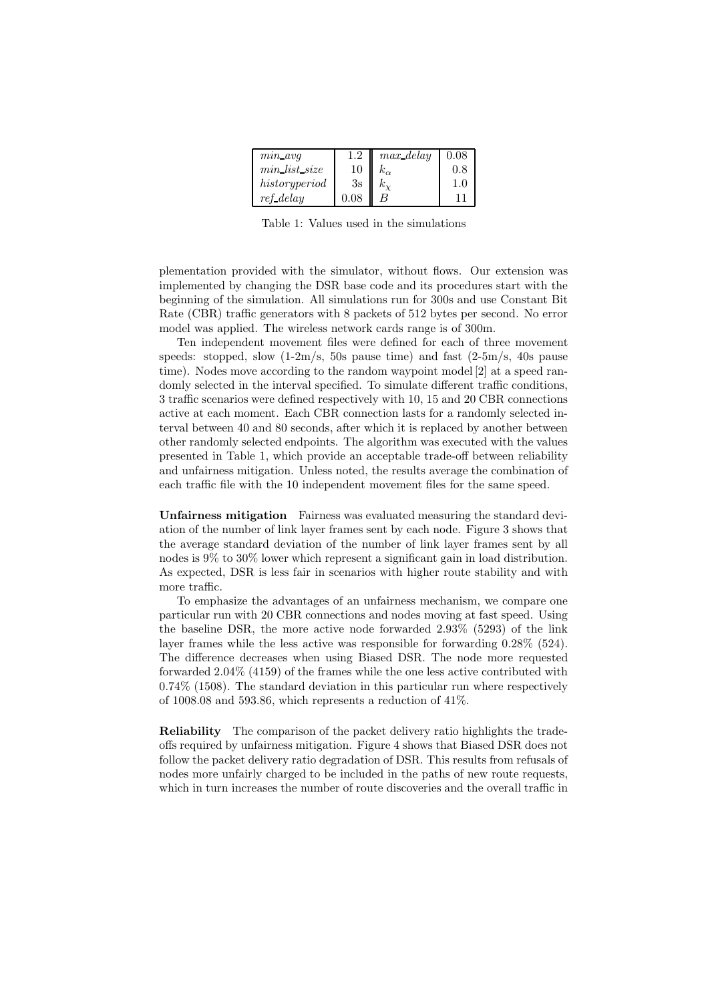| $min\_avg$    | 1.2  | $max$ delay | 0.08 |
|---------------|------|-------------|------|
| min list size | 10   |             | 0.8  |
| historyperiod | 3s   |             | 1.0  |
| ref_delay     | 0.08 |             |      |

Table 1: Values used in the simulations

plementation provided with the simulator, without flows. Our extension was implemented by changing the DSR base code and its procedures start with the beginning of the simulation. All simulations run for 300s and use Constant Bit Rate (CBR) traffic generators with 8 packets of 512 bytes per second. No error model was applied. The wireless network cards range is of 300m.

Ten independent movement files were defined for each of three movement speeds: stopped, slow  $(1-2m/s, 50s)$  pause time) and fast  $(2-5m/s, 40s)$  pause time). Nodes move according to the random waypoint model [2] at a speed randomly selected in the interval specified. To simulate different traffic conditions, 3 traffic scenarios were defined respectively with 10, 15 and 20 CBR connections active at each moment. Each CBR connection lasts for a randomly selected interval between 40 and 80 seconds, after which it is replaced by another between other randomly selected endpoints. The algorithm was executed with the values presented in Table 1, which provide an acceptable trade-off between reliability and unfairness mitigation. Unless noted, the results average the combination of each traffic file with the 10 independent movement files for the same speed.

Unfairness mitigation Fairness was evaluated measuring the standard deviation of the number of link layer frames sent by each node. Figure 3 shows that the average standard deviation of the number of link layer frames sent by all nodes is 9% to 30% lower which represent a significant gain in load distribution. As expected, DSR is less fair in scenarios with higher route stability and with more traffic.

To emphasize the advantages of an unfairness mechanism, we compare one particular run with 20 CBR connections and nodes moving at fast speed. Using the baseline DSR, the more active node forwarded 2.93% (5293) of the link layer frames while the less active was responsible for forwarding 0.28% (524). The difference decreases when using Biased DSR. The node more requested forwarded 2.04% (4159) of the frames while the one less active contributed with 0.74% (1508). The standard deviation in this particular run where respectively of 1008.08 and 593.86, which represents a reduction of 41%.

Reliability The comparison of the packet delivery ratio highlights the tradeoffs required by unfairness mitigation. Figure 4 shows that Biased DSR does not follow the packet delivery ratio degradation of DSR. This results from refusals of nodes more unfairly charged to be included in the paths of new route requests, which in turn increases the number of route discoveries and the overall traffic in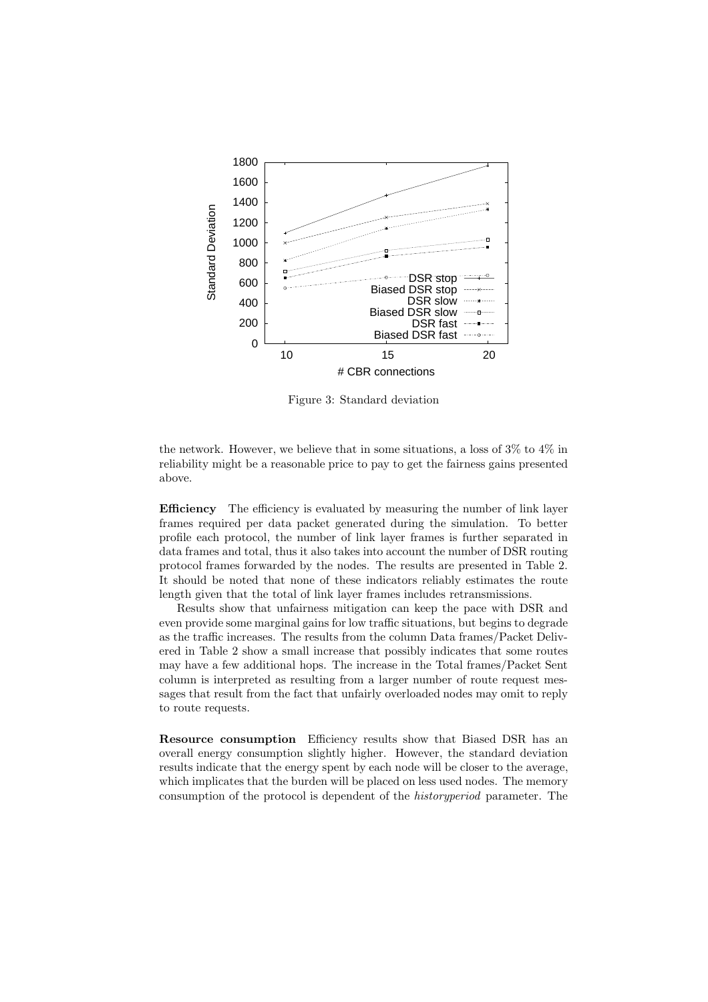

Figure 3: Standard deviation

the network. However, we believe that in some situations, a loss of 3% to 4% in reliability might be a reasonable price to pay to get the fairness gains presented above.

Efficiency The efficiency is evaluated by measuring the number of link layer frames required per data packet generated during the simulation. To better profile each protocol, the number of link layer frames is further separated in data frames and total, thus it also takes into account the number of DSR routing protocol frames forwarded by the nodes. The results are presented in Table 2. It should be noted that none of these indicators reliably estimates the route length given that the total of link layer frames includes retransmissions.

Results show that unfairness mitigation can keep the pace with DSR and even provide some marginal gains for low traffic situations, but begins to degrade as the traffic increases. The results from the column Data frames/Packet Delivered in Table 2 show a small increase that possibly indicates that some routes may have a few additional hops. The increase in the Total frames/Packet Sent column is interpreted as resulting from a larger number of route request messages that result from the fact that unfairly overloaded nodes may omit to reply to route requests.

Resource consumption Efficiency results show that Biased DSR has an overall energy consumption slightly higher. However, the standard deviation results indicate that the energy spent by each node will be closer to the average, which implicates that the burden will be placed on less used nodes. The memory consumption of the protocol is dependent of the historyperiod parameter. The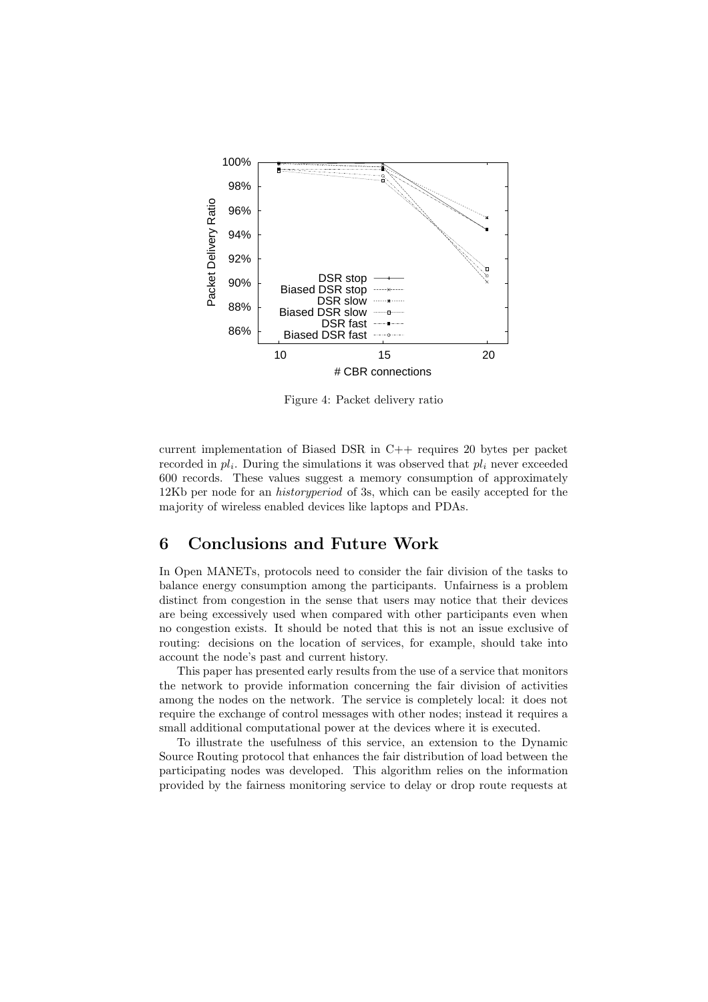

Figure 4: Packet delivery ratio

current implementation of Biased DSR in C++ requires 20 bytes per packet recorded in  $pl_i$ . During the simulations it was observed that  $pl_i$  never exceeded 600 records. These values suggest a memory consumption of approximately 12Kb per node for an historyperiod of 3s, which can be easily accepted for the majority of wireless enabled devices like laptops and PDAs.

## 6 Conclusions and Future Work

In Open MANETs, protocols need to consider the fair division of the tasks to balance energy consumption among the participants. Unfairness is a problem distinct from congestion in the sense that users may notice that their devices are being excessively used when compared with other participants even when no congestion exists. It should be noted that this is not an issue exclusive of routing: decisions on the location of services, for example, should take into account the node's past and current history.

This paper has presented early results from the use of a service that monitors the network to provide information concerning the fair division of activities among the nodes on the network. The service is completely local: it does not require the exchange of control messages with other nodes; instead it requires a small additional computational power at the devices where it is executed.

To illustrate the usefulness of this service, an extension to the Dynamic Source Routing protocol that enhances the fair distribution of load between the participating nodes was developed. This algorithm relies on the information provided by the fairness monitoring service to delay or drop route requests at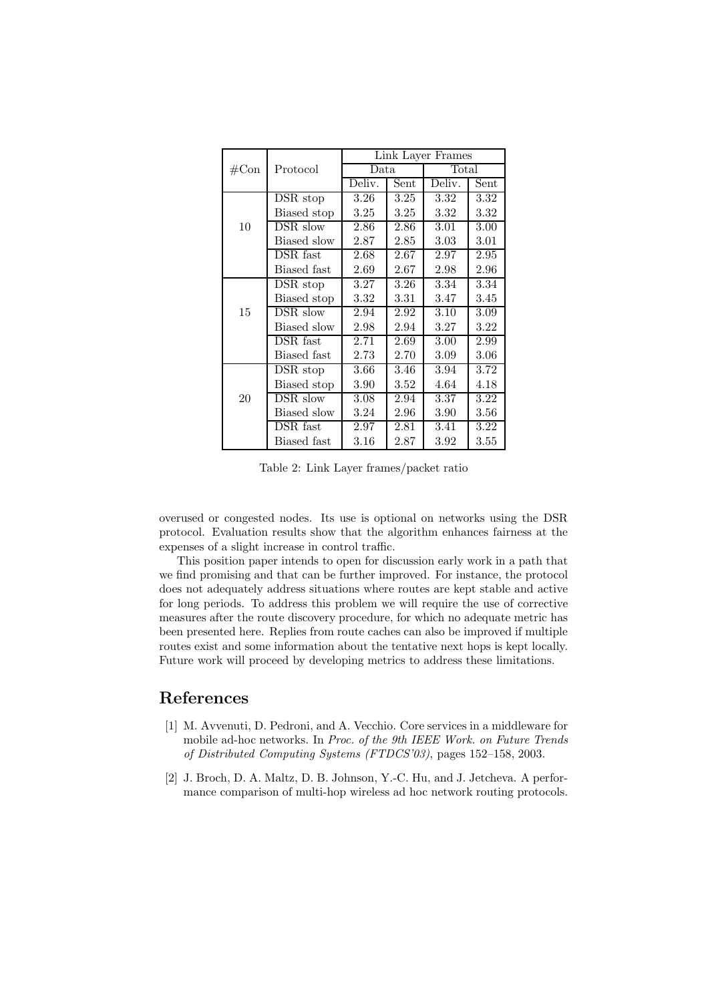|                |                              | Link Layer Frames |          |                   |      |  |
|----------------|------------------------------|-------------------|----------|-------------------|------|--|
| $\#\text{Con}$ | Protocol                     | Data              |          | Total             |      |  |
|                |                              | Deliv.            | Sent     | Deliv.            | Sent |  |
| 10             | DSR stop                     | 3.26              | 3.25     | $\overline{3}.32$ | 3.32 |  |
|                | Biased stop                  | 3.25              | 3.25     | 3.32              | 3.32 |  |
|                | DSR slow                     | 2.86              | 2.86     | 3.01              | 3.00 |  |
|                | Biased slow                  | 2.87              | 2.85     | 3.03              | 3.01 |  |
|                | $DSR$ fast                   | 2.68              | 2.67     | 2.97              | 2.95 |  |
|                | Biased fast                  | 2.69              | $2.67\,$ | 2.98              | 2.96 |  |
| 15             | DSR stop                     | 3.27              | $3.26\,$ | 3.34              | 3.34 |  |
|                | Biased stop                  | 3.32              | $3.31\,$ | 3.47              | 3.45 |  |
|                | $\overline{\text{DSR}}$ slow | 2.94              | 2.92     | 3.10              | 3.09 |  |
|                | Biased slow                  | 2.98              | 2.94     | 3.27              | 3.22 |  |
|                | DSR fast                     | 2.71              | 2.69     | 3.00              | 2.99 |  |
|                | Biased fast                  | 2.73              | 2.70     | 3.09              | 3.06 |  |
| 20             | DSR stop                     | 3.66              | 3.46     | 3.94              | 3.72 |  |
|                | Biased stop                  | 3.90              | $3.52\,$ | 4.64              | 4.18 |  |
|                | DSR slow                     | 3.08              | 2.94     | 3.37              | 3.22 |  |
|                | Biased slow                  | 3.24              | 2.96     | 3.90              | 3.56 |  |
|                | DSR fast                     | 2.97              | $2.81\,$ | 3.41              | 3.22 |  |
|                | Biased fast                  | 3.16              | 2.87     | 3.92              | 3.55 |  |

Table 2: Link Layer frames/packet ratio

overused or congested nodes. Its use is optional on networks using the DSR protocol. Evaluation results show that the algorithm enhances fairness at the expenses of a slight increase in control traffic.

This position paper intends to open for discussion early work in a path that we find promising and that can be further improved. For instance, the protocol does not adequately address situations where routes are kept stable and active for long periods. To address this problem we will require the use of corrective measures after the route discovery procedure, for which no adequate metric has been presented here. Replies from route caches can also be improved if multiple routes exist and some information about the tentative next hops is kept locally. Future work will proceed by developing metrics to address these limitations.

# References

- [1] M. Avvenuti, D. Pedroni, and A. Vecchio. Core services in a middleware for mobile ad-hoc networks. In Proc. of the 9th IEEE Work. on Future Trends of Distributed Computing Systems (FTDCS'03), pages 152–158, 2003.
- [2] J. Broch, D. A. Maltz, D. B. Johnson, Y.-C. Hu, and J. Jetcheva. A performance comparison of multi-hop wireless ad hoc network routing protocols.